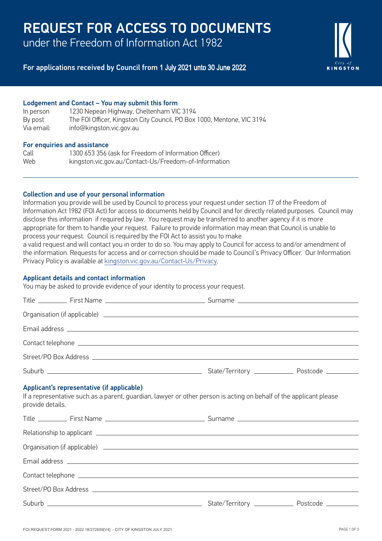# REQUEST FOR ACCESS TO DOCUMENTS

under the Freedom of Information Act 1982

# For applications received by Council from 1 July 2021 unto 30 June 2022

#### Lodgement and Contact – You may submit this form

| In person  | 1230 Nepean Highway, Cheltenham VIC 3194                               |
|------------|------------------------------------------------------------------------|
| By post    | The FOI Officer, Kingston City Council, PO Box 1000, Mentone, VIC 3194 |
| Via email: | info@kingston.vic.gov.au                                               |

#### For enquiries and assistance

| Call | 1300 653 356 (ask for Freedom of Information Officer) |
|------|-------------------------------------------------------|
| Web  | kingston.vic.gov.au/Contact-Us/Freedom-of-Information |

### Collection and use of your personal information

Information you provide will be used by Council to process your request under section 17 of the Freedom of Information Act 1982 (FOI Act) for access to documents held by Council and for directly related purposes. Council may disclose this information if required by law. You request may be transferred to another agency if it is more appropriate for them to handle your request. Failure to provide information may mean that Council is unable to process your request. Council is required by the FOI Act to assist you to make a valid request and will contact you in order to do so. You may apply to Council for access to and/or amendment of the information. Requests for access and or correction should be made to Council's Privacy Officer. Our Information

Privacy Policy is available at kingston.vic.gov.au/Contact-Us/Privacy.

#### Applicant details and contact information

You may be asked to provide evidence of your identity to process your request.

| provide details. | Applicant's representative (if applicable)<br>If a representative such as a parent, guardian, lawyer or other person is acting on behalf of the applicant please |  |
|------------------|------------------------------------------------------------------------------------------------------------------------------------------------------------------|--|
|                  |                                                                                                                                                                  |  |
|                  |                                                                                                                                                                  |  |
|                  |                                                                                                                                                                  |  |
|                  |                                                                                                                                                                  |  |
|                  |                                                                                                                                                                  |  |
|                  |                                                                                                                                                                  |  |
|                  |                                                                                                                                                                  |  |

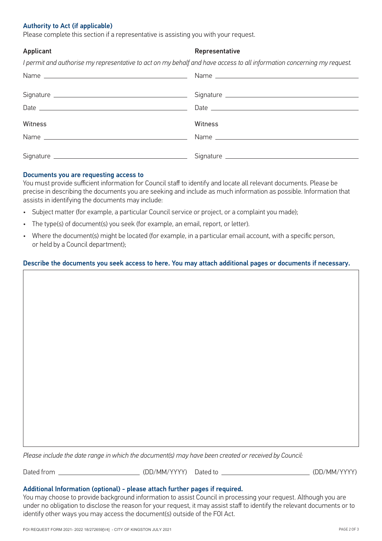### Authority to Act (if applicable)

Please complete this section if a representative is assisting you with your request.

#### Applicant **Representative**

*I permit and authorise my representative to act on my behalf and have access to all information concerning my request.*

| Witness | Witness |
|---------|---------|
|         |         |
|         |         |
|         |         |

#### Documents you are requesting access to

You must provide sufficient information for Council staff to identify and locate all relevant documents. Please be precise in describing the documents you are seeking and include as much information as possible. Information that assists in identifying the documents may include:

- Subject matter (for example, a particular Council service or project, or a complaint you made);
- The type(s) of document(s) you seek (for example, an email, report, or letter).
- Where the document(s) might be located (for example, in a particular email account, with a specific person, or held by a Council department);

#### Describe the documents you seek access to here. You may attach additional pages or documents if necessary.

*Please include the date range in which the document(s) may have been created or received by Council:*

Dated from (DD/MM/YYYY) Dated to (DD/MM/YYYY)

#### Additional Information (optional) - please attach further pages if required.

You may choose to provide background information to assist Council in processing your request. Although you are under no obligation to disclose the reason for your request, it may assist staff to identify the relevant documents or to identify other ways you may access the document(s) outside of the FOI Act.